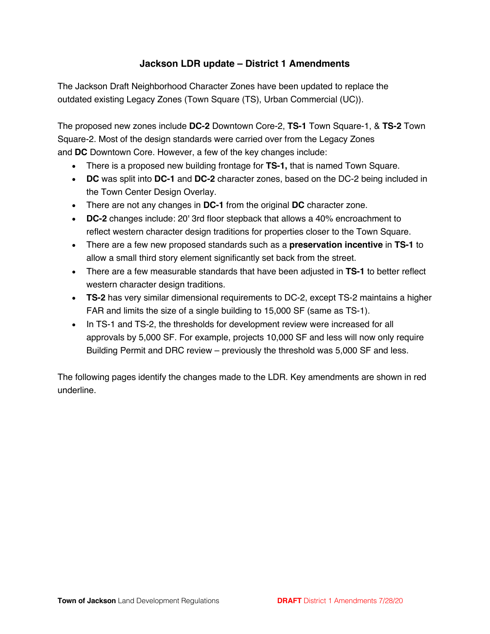# **Jackson LDR update – District 1 Amendments**

The Jackson Draft Neighborhood Character Zones have been updated to replace the outdated existing Legacy Zones (Town Square (TS), Urban Commercial (UC)).

The proposed new zones include **DC-2** Downtown Core-2, **TS-1** Town Square-1, & **TS-2** Town Square-2. Most of the design standards were carried over from the Legacy Zones and **DC** Downtown Core. However, a few of the key changes include:

- There is a proposed new building frontage for **TS-1,** that is named Town Square.
- **DC** was split into **DC-1** and **DC-2** character zones, based on the DC-2 being included in the Town Center Design Overlay.
- There are not any changes in **DC-1** from the original **DC** character zone.
- **DC-2** changes include: 20' 3rd floor stepback that allows a 40% encroachment to reflect western character design traditions for properties closer to the Town Square.
- There are a few new proposed standards such as a **preservation incentive** in **TS-1** to allow a small third story element significantly set back from the street.
- There are a few measurable standards that have been adjusted in **TS-1** to better reflect western character design traditions.
- **TS-2** has very similar dimensional requirements to DC-2, except TS-2 maintains a higher FAR and limits the size of a single building to 15,000 SF (same as TS-1).
- In TS-1 and TS-2, the thresholds for development review were increased for all approvals by 5,000 SF. For example, projects 10,000 SF and less will now only require Building Permit and DRC review – previously the threshold was 5,000 SF and less.

The following pages identify the changes made to the LDR. Key amendments are shown in red underline.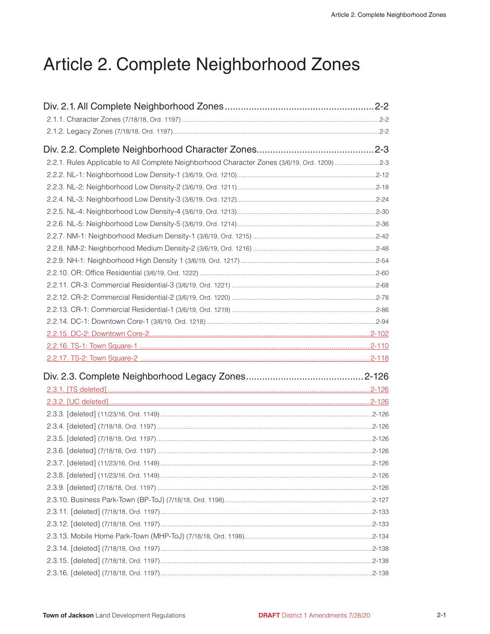# Article 2. Complete Neighborhood Zones

| Div. 2.1. All Complete Neighborhood Zones………………………………………………2-2                               |  |
|----------------------------------------------------------------------------------------------|--|
|                                                                                              |  |
|                                                                                              |  |
|                                                                                              |  |
| 2-2.1. Rules Applicable to All Complete Neighborhood Character Zones (3/6/19, Ord. 1209) 2-3 |  |
|                                                                                              |  |
|                                                                                              |  |
|                                                                                              |  |
|                                                                                              |  |
|                                                                                              |  |
|                                                                                              |  |
|                                                                                              |  |
|                                                                                              |  |
|                                                                                              |  |
|                                                                                              |  |
|                                                                                              |  |
|                                                                                              |  |
|                                                                                              |  |
|                                                                                              |  |
|                                                                                              |  |
|                                                                                              |  |
|                                                                                              |  |
|                                                                                              |  |
|                                                                                              |  |
|                                                                                              |  |
|                                                                                              |  |
|                                                                                              |  |
|                                                                                              |  |
|                                                                                              |  |
|                                                                                              |  |
|                                                                                              |  |
|                                                                                              |  |
|                                                                                              |  |
|                                                                                              |  |
|                                                                                              |  |
|                                                                                              |  |
|                                                                                              |  |
|                                                                                              |  |
|                                                                                              |  |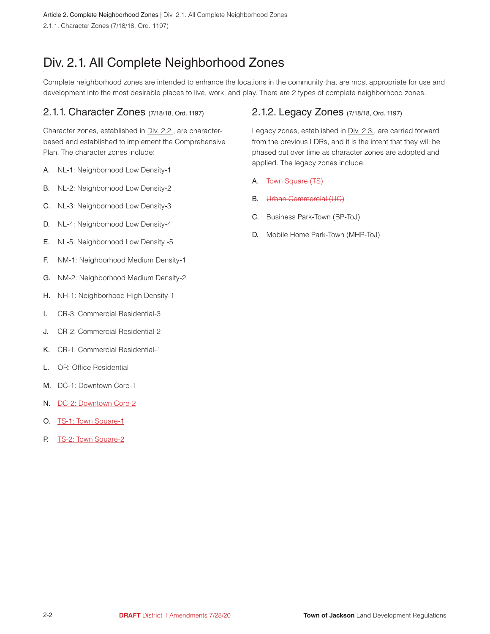<span id="page-2-0"></span>Article 2. Complete Neighborhood Zones | Div. 2.1. All Complete Neighborhood Zones 2.1.1. Character Zones (7/18/18, Ord. 1197)

# Div. 2.1. All Complete Neighborhood Zones

Complete neighborhood zones are intended to enhance the locations in the community that are most appropriate for use and development into the most desirable places to live, work, and play. There are 2 types of complete neighborhood zones.

# 2.1.1. Character Zones (7/18/18, Ord. 1197)

Character zones, established in Div. 2.2., are characterbased and established to implement the Comprehensive Plan. The character zones include:

- A. NL-1: Neighborhood Low Density-1
- B. NL-2: Neighborhood Low Density-2
- C. NL-3: Neighborhood Low Density-3
- D. NL-4: Neighborhood Low Density-4
- E. NL-5: Neighborhood Low Density -5
- F. NM-1: Neighborhood Medium Density-1
- G. NM-2: Neighborhood Medium Density-2
- H. NH-1: Neighborhood High Density-1
- I. CR-3: Commercial Residential-3
- J. CR-2: Commercial Residential-2
- K. CR-1: Commercial Residential-1
- L. OR: Office Residential
- M. DC-1: Downtown Core-1
- N. DC-2: Downtown Core-2
- O. TS-1: Town Square-1
- P. TS-2: Town Square-2

# 2.1.2. Legacy Zones (7/18/18, Ord. 1197)

Legacy zones, established in Div. 2.3., are carried forward from the previous LDRs, and it is the intent that they will be phased out over time as character zones are adopted and applied. The legacy zones include:

- A. Town Square (TS)
- B. Urban Commercial (UC)
- C. Business Park-Town (BP-ToJ)
- D. Mobile Home Park-Town (MHP-ToJ)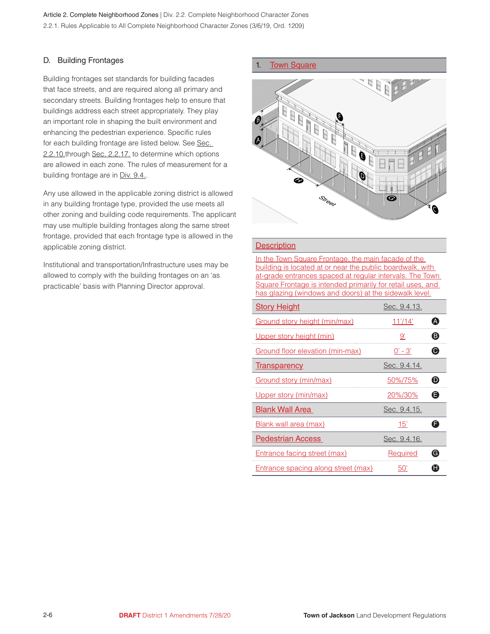#### D. Building Frontages

Building frontages set standards for building facades that face streets, and are required along all primary and secondary streets. Building frontages help to ensure that buildings address each street appropriately. They play an important role in shaping the built environment and enhancing the pedestrian experience. Specific rules for each building frontage are listed below. See Sec. 2.2.10.through Sec. 2.2.17. to determine which options are allowed in each zone. The rules of measurement for a building frontage are in Div. 9.4.

Any use allowed in the applicable zoning district is allowed in any building frontage type, provided the use meets all other zoning and building code requirements. The applicant may use multiple building frontages along the same street frontage, provided that each frontage type is allowed in the applicable zoning district.

Institutional and transportation/Infrastructure uses may be allowed to comply with the building frontages on an 'as practicable' basis with Planning Director approval.

#### 1. Town Square



#### **Description**

In the Town Square Frontage, the main facade of the building is located at or near the public boardwalk, with at-grade entrances spaced at regular intervals. The Town Square Frontage is intended primarily for retail uses, and has glazing (windows and doors) at the sidewalk level.

| <b>Story Height</b>                        | Sec. 9.4.13.    |                  |
|--------------------------------------------|-----------------|------------------|
| Ground story height (min/max)              | <u>11'/14'</u>  | A                |
| Upper story height (min)                   | 9'              | ❸                |
| Ground floor elevation (min-max)           | $0' - 3'$       | $\mathbf \Theta$ |
| <b>Transparency</b>                        | Sec. 9.4.14.    |                  |
| Ground story (min/max)                     | 50%/75%         | $\mathbf \Theta$ |
| Upper story (min/max)                      | 20%/30%         | Θ                |
| <b>Blank Wall Area</b>                     | Sec. 9.4.15.    |                  |
| Blank wall area (max)                      | 15'             | G                |
| <b>Pedestrian Access</b>                   | Sec. 9.4.16.    |                  |
| <b>Entrance facing street (max)</b>        | <b>Required</b> | G                |
| <b>Entrance spacing along street (max)</b> | 50'             | A                |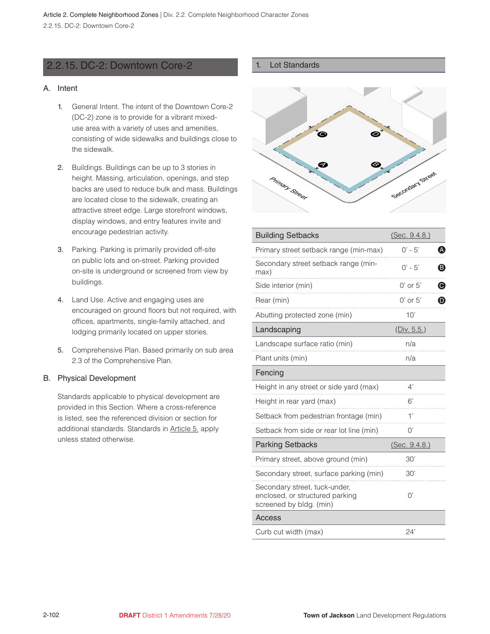# <span id="page-4-0"></span>2.2.15. DC-2: Downtown Core-2

#### A. Intent

- 1. General Intent. The intent of the Downtown Core-2 (DC-2) zone is to provide for a vibrant mixeduse area with a variety of uses and amenities, consisting of wide sidewalks and buildings close to the sidewalk.
- 2. Buildings. Buildings can be up to 3 stories in height. Massing, articulation, openings, and step backs are used to reduce bulk and mass. Buildings are located close to the sidewalk, creating an attractive street edge. Large storefront windows, display windows, and entry features invite and encourage pedestrian activity.
- 3. Parking. Parking is primarily provided off-site on public lots and on-street. Parking provided on-site is underground or screened from view by buildings.
- 4. Land Use. Active and engaging uses are encouraged on ground floors but not required, with offices, apartments, single-family attached, and lodging primarily located on upper stories.
- 5. Comprehensive Plan. Based primarily on sub area 2.3 of the Comprehensive Plan.

#### B. Physical Development

Standards applicable to physical development are provided in this Section. Where a cross-reference is listed, see the referenced division or section for additional standards. Standards in Article 5. apply unless stated otherwise.

#### 1. Lot Standards



| <b>Building Setbacks</b>                                                                    | (Sec. 9.4.8.)                         |  |  |
|---------------------------------------------------------------------------------------------|---------------------------------------|--|--|
| Primary street setback range (min-max)                                                      | $0' - 5'$<br>A                        |  |  |
| Secondary street setback range (min-<br>max)                                                | $0' - 5'$<br>ß                        |  |  |
| Side interior (min)                                                                         | $\boldsymbol{\Theta}$<br>$0'$ or $5'$ |  |  |
| Rear (min)                                                                                  | $\boldsymbol{\Theta}$<br>$0'$ or $5'$ |  |  |
| Abutting protected zone (min)                                                               | 10'                                   |  |  |
| Landscaping                                                                                 | (Div. 5.5.)                           |  |  |
| Landscape surface ratio (min)                                                               | n/a                                   |  |  |
| Plant units (min)                                                                           | n/a                                   |  |  |
| Fencing                                                                                     |                                       |  |  |
| Height in any street or side yard (max)                                                     | 4'                                    |  |  |
| Height in rear yard (max)                                                                   | 6'                                    |  |  |
| Setback from pedestrian frontage (min)                                                      | 1'                                    |  |  |
| Setback from side or rear lot line (min)                                                    | O'                                    |  |  |
| <b>Parking Setbacks</b>                                                                     | (Sec. 9.4.8.)                         |  |  |
| Primary street, above ground (min)                                                          | 30'                                   |  |  |
| Secondary street, surface parking (min)                                                     | 30'                                   |  |  |
| Secondary street, tuck-under,<br>enclosed, or structured parking<br>screened by bldg. (min) | $\bigcap$                             |  |  |
| Access                                                                                      |                                       |  |  |
| Curb cut width (max)                                                                        | 24'                                   |  |  |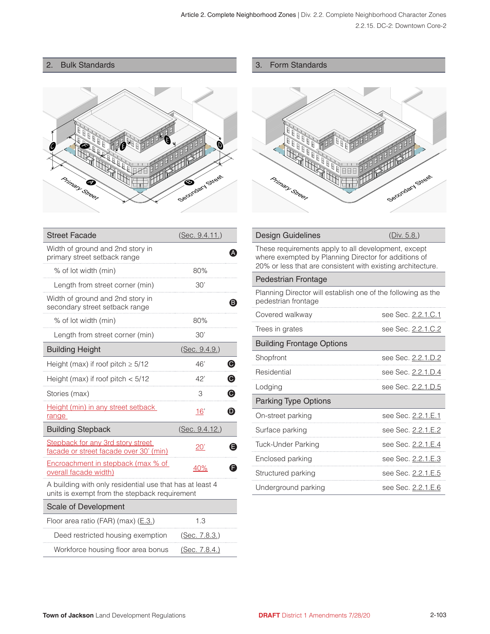# 2. Bulk Standards



| З. | Form Standards |
|----|----------------|
|    |                |



#### Design Guidelines (Div. 5.8.)

| 20% or less that are consistent with existing architecture. |
|-------------------------------------------------------------|
| where exempted by Planning Director for additions of        |
| These requirements apply to all development, except         |

#### Pedestrian Frontage

Planning Director will establish one of the following as the pedestrian frontage

| Covered walkway                  | see Sec. 2.2.1.C.1 |
|----------------------------------|--------------------|
| Trees in grates                  | see Sec. 2.2.1.C.2 |
| <b>Building Frontage Options</b> |                    |
| Shopfront                        | see Sec. 2.2.1.D.2 |
| Residential                      | see Sec. 2.2.1.D.4 |
| Lodging                          | see Sec. 2.2.1.D.5 |
| <b>Parking Type Options</b>      |                    |
| On-street parking                | see Sec. 2.2.1.E.1 |
| Surface parking                  | see Sec. 2.2.1.E.2 |
| Tuck-Under Parking               | see Sec. 2.2.1.E.4 |
| Enclosed parking                 | see Sec. 2.2.1.E.3 |
| Structured parking               | see Sec. 2.2.1.E.5 |
| Underground parking              | see Sec. 2.2.1.E.6 |

| <b>Street Facade</b>                                                                                      | (Sec. 9.4.11.)             |
|-----------------------------------------------------------------------------------------------------------|----------------------------|
| Width of ground and 2nd story in<br>primary street setback range                                          |                            |
| % of lot width (min)                                                                                      | 80%                        |
| Length from street corner (min)                                                                           | 30'                        |
| Width of ground and 2nd story in<br>secondary street setback range                                        | B)                         |
| % of lot width (min)                                                                                      | 80%                        |
| Length from street corner (min)                                                                           | 30'                        |
| <b>Building Height</b>                                                                                    | (Sec. 9.4.9.)              |
| Height (max) if roof pitch $\geq 5/12$                                                                    | ◉<br>46'                   |
| Height (max) if roof pitch $<$ 5/12                                                                       | ◉<br>42'                   |
| Stories (max)                                                                                             | $\boldsymbol{\Theta}$<br>3 |
| <b>Height (min) in any street setback</b><br>range                                                        | ❶<br>16'                   |
| <b>Building Stepback</b>                                                                                  | (Sec. 9.4.12.)             |
| Stepback for any 3rd story street<br>facade or street facade over 30' (min)                               | A<br>$20^{\circ}$          |
| Encroachment in stepback (max % of<br>overall facade width)                                               | 40%<br>F                   |
| A building with only residential use that has at least 4<br>units is exempt from the stepback requirement |                            |
| Scale of Development                                                                                      |                            |
| Floor area ratio (FAR) (max) (E.3.)                                                                       | 1.3                        |
| Deed restricted housing exemption                                                                         | <u>(Sec. 7.8.3.)</u>       |
| Workforce housing floor area bonus                                                                        | (Sec. 7.8.4.)              |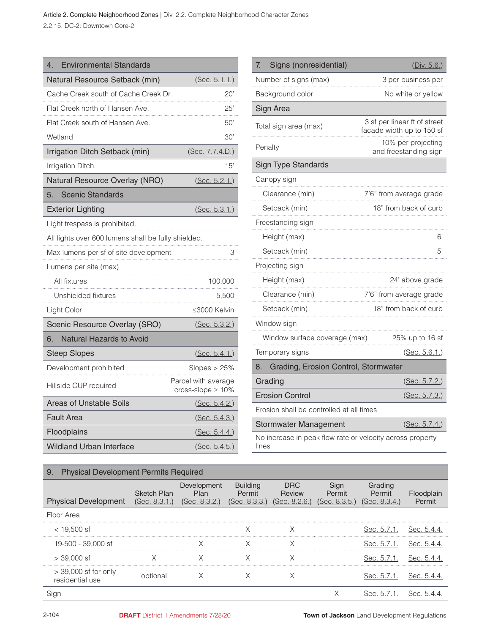Article 2. Complete Neighborhood Zones | Div. 2.2. Complete Neighborhood Character Zones 2.2.15. DC-2: Downtown Core-2

| <b>Environmental Standards</b><br>4                 |                                                |
|-----------------------------------------------------|------------------------------------------------|
| Natural Resource Setback (min)                      | (Sec. 5.1.1.)                                  |
| Cache Creek south of Cache Creek Dr.                | 20'                                            |
| Flat Creek north of Hansen Ave.                     | 25'                                            |
| Flat Creek south of Hansen Ave.                     | 50'                                            |
| Wetland                                             | 30'                                            |
| Irrigation Ditch Setback (min)                      | (Sec. 7.7.4.D.)                                |
| <b>Irrigation Ditch</b>                             | 15'                                            |
| Natural Resource Overlay (NRO)                      | (Sec. 5.2.1.)                                  |
| 5.<br><b>Scenic Standards</b>                       |                                                |
| <b>Exterior Lighting</b>                            | (Sec. 5.3.1.)                                  |
| Light trespass is prohibited.                       |                                                |
| All lights over 600 lumens shall be fully shielded. |                                                |
| Max lumens per sf of site development               | 3                                              |
| Lumens per site (max)                               |                                                |
| All fixtures                                        | 100,000                                        |
| Unshielded fixtures                                 | 5,500                                          |
| Light Color                                         | ≤3000 Kelvin                                   |
| Scenic Resource Overlay (SRO)                       | (Sec. 5.3.2.)                                  |
| Natural Hazards to Avoid<br>6.                      |                                                |
| <b>Steep Slopes</b>                                 | (Sec. 5.4.1.)                                  |
| Development prohibited                              | Slopes > 25%                                   |
| Hillside CUP required                               | Parcel with average<br>cross-slope $\geq 10\%$ |
| Areas of Unstable Soils                             | (Sec. 5.4.2.)                                  |
| Fault Area                                          | (Sec. 5.4.3.)                                  |
| Floodplains                                         | (Sec. 5.4.4.)                                  |
| <b>Wildland Urban Interface</b>                     | (Sec. 5.4.5.)                                  |

| Signs (nonresidential)<br>7.                               | (Div. 5.6.)                                               |
|------------------------------------------------------------|-----------------------------------------------------------|
| Number of signs (max)                                      | 3 per business per                                        |
| Background color                                           | No white or yellow                                        |
| Sign Area                                                  |                                                           |
| Total sign area (max)                                      | 3 sf per linear ft of street<br>facade width up to 150 sf |
| Penalty                                                    | 10% per projecting<br>and freestanding sign               |
| <b>Sign Type Standards</b>                                 |                                                           |
| Canopy sign                                                |                                                           |
| Clearance (min)                                            | 7'6" from average grade                                   |
| Setback (min)                                              | 18" from back of curb                                     |
| Freestanding sign                                          |                                                           |
| Height (max)                                               | 6'                                                        |
| Setback (min)                                              | 5'                                                        |
| Projecting sign                                            |                                                           |
| Height (max)                                               | 24' above grade                                           |
| Clearance (min)                                            | 7'6" from average grade                                   |
| Setback (min)                                              | 18" from back of curb                                     |
| Window sign                                                |                                                           |
| Window surface coverage (max)                              | 25% up to 16 sf                                           |
| Temporary signs                                            | (Sec. 5.6.1.)                                             |
| Grading, Erosion Control, Stormwater<br>8.                 |                                                           |
| Grading                                                    | (Sec. 5.7.2.)                                             |
| <b>Erosion Control</b>                                     | (Sec. 5.7.3.)                                             |
| Erosion shall be controlled at all times                   |                                                           |
| <b>Stormwater Management</b>                               | (Sec. 5.7.4.)                                             |
| No increase in peak flow rate or velocity across property. |                                                           |

No increase in peak flow rate or velocity across property lines

# 9. Physical Development Permits Required

| <b>Physical Development</b>              | <b>Sketch Plan</b><br>(Sec. 8.3) | Development<br>Plan<br>(Sec. 8.3.2. | <b>Building</b><br>Permit<br>(Sec. 8.3.3.) | DRC<br>Review<br>(Sec. 8.2.6.) | Permit<br>(Sec. 8.3.5.) | Permit<br>(Sec. 8.3.4.) | Permit |
|------------------------------------------|----------------------------------|-------------------------------------|--------------------------------------------|--------------------------------|-------------------------|-------------------------|--------|
| Floor Area                               |                                  |                                     |                                            |                                |                         |                         |        |
| $<$ 19,500 sf                            |                                  |                                     |                                            |                                |                         |                         |        |
| 19-500 - 39,000 sf                       |                                  |                                     |                                            |                                |                         |                         |        |
| $>$ 39,000 sf                            |                                  |                                     |                                            |                                |                         | sec. 5.7.1              |        |
| $>39,000$ sf for only<br>residential use |                                  |                                     |                                            |                                |                         | Sec. 5.7.1              | Sec. b |
|                                          |                                  |                                     |                                            |                                |                         |                         |        |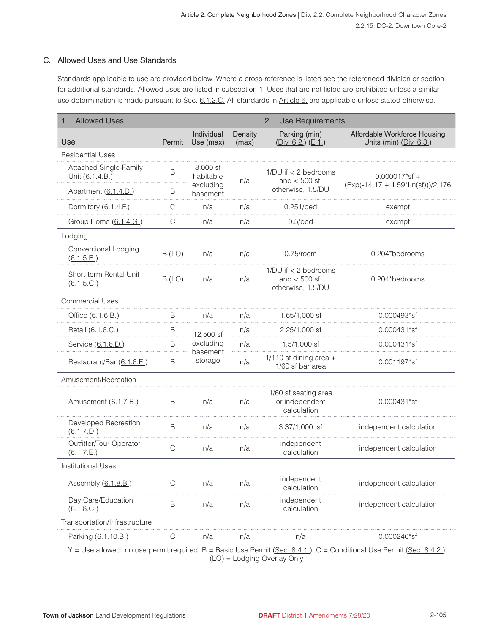#### C. Allowed Uses and Use Standards

Standards applicable to use are provided below. Where a cross-reference is listed see the referenced division or section for additional standards. Allowed uses are listed in subsection 1. Uses that are not listed are prohibited unless a similar use determination is made pursuant to Sec. 6.1.2.C. All standards in Article 6. are applicable unless stated otherwise.

| <b>Allowed Uses</b>                       |              |                         |                  | 2.<br><b>Use Requirements</b>                                      |                                                           |  |
|-------------------------------------------|--------------|-------------------------|------------------|--------------------------------------------------------------------|-----------------------------------------------------------|--|
| Use                                       | Permit       | Individual<br>Use (max) | Density<br>(max) | Parking (min)<br>$(Div. 6.2.)$ $(E.1.)$                            | Affordable Workforce Housing<br>Units (min) $(Div. 6.3.)$ |  |
| <b>Residential Uses</b>                   |              |                         |                  |                                                                    |                                                           |  |
| Attached Single-Family<br>Unit (6.1.4.B.) | $\mathsf B$  | 8.000 sf<br>habitable   | n/a              | $1/DU$ if $\lt$ 2 bedrooms<br>and $<$ 500 sf;                      | $0.000017$ *sf +                                          |  |
| Apartment (6.1.4.D.)                      | B            | excluding<br>basement   |                  | otherwise, 1.5/DU                                                  | (Exp(-14.17 + 1.59*Ln(sf)))/2.176                         |  |
| Dormitory (6.1.4.F.)                      | C            | n/a                     | n/a              | 0.251/bed                                                          | exempt                                                    |  |
| Group Home (6.1.4.G.)                     | С            | n/a                     | n/a              | $0.5$ /bed                                                         | exempt                                                    |  |
| Lodging                                   |              |                         |                  |                                                                    |                                                           |  |
| Conventional Lodging<br>(6.1.5.B.)        | B (LO)       | n/a                     | n/a              | $0.75$ /room                                                       | 0.204*bedrooms                                            |  |
| Short-term Rental Unit<br>(6.1.5.C.)      | B (LO)       | n/a                     | n/a              | $1/DU$ if $\lt$ 2 bedrooms<br>and $<$ 500 sf;<br>otherwise, 1.5/DU | 0.204*bedrooms                                            |  |
| Commercial Uses                           |              |                         |                  |                                                                    |                                                           |  |
| Office (6.1.6.B.)                         | B            | n/a                     | n/a              | 1.65/1,000 sf                                                      | 0.000493*sf                                               |  |
| Retail (6.1.6.C.)                         | B            | 12,500 sf               | n/a              | 2.25/1,000 sf                                                      | 0.000431*sf                                               |  |
| Service (6.1.6.D.)                        | B            | excluding<br>basement   | n/a              | $1.5/1,000$ sf                                                     | 0.000431*sf                                               |  |
| Restaurant/Bar (6.1.6.E.)                 | B            | storage                 | n/a              | $1/110$ sf dining area +<br>1/60 sf bar area                       | 0.001197*sf                                               |  |
| Amusement/Recreation                      |              |                         |                  |                                                                    |                                                           |  |
| Amusement (6.1.7.B.)                      | B            | n/a                     | n/a              | 1/60 sf seating area<br>or independent<br>calculation              | 0.000431*sf                                               |  |
| Developed Recreation<br>(6.1.7.D.)        | B            | n/a                     | n/a              | $3.37/1,000$ sf                                                    | independent calculation                                   |  |
| Outfitter/Tour Operator<br>(6.1.7.E.)     | $\mathsf{C}$ | n/a                     | n/a              | independent<br>calculation                                         | independent calculation                                   |  |
| <b>Institutional Uses</b>                 |              |                         |                  |                                                                    |                                                           |  |
| Assembly (6.1.8.B.)                       | $\mathbb C$  | n/a                     | n/a              | independent<br>calculation                                         | independent calculation                                   |  |
| Day Care/Education<br>(6.1.8.C.)          | B            | n/a                     | n/a              | independent<br>calculation                                         | independent calculation                                   |  |
| Transportation/Infrastructure             |              |                         |                  |                                                                    |                                                           |  |
| Parking (6.1.10.B.)                       | C            | n/a                     | n/a              | n/a                                                                | 0.000246*sf                                               |  |

Y = Use allowed, no use permit required B = Basic Use Permit (Sec. 8.4.1.) C = Conditional Use Permit (Sec. 8.4.2.) (LO) = Lodging Overlay Only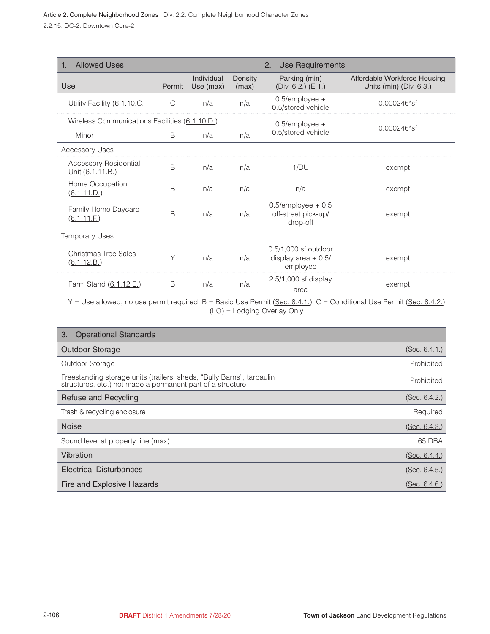| <b>Allowed Uses</b><br>1.                        |              |                         | <b>Use Requirements</b><br>2. |                                                          |                                                           |
|--------------------------------------------------|--------------|-------------------------|-------------------------------|----------------------------------------------------------|-----------------------------------------------------------|
| Use                                              | Permit       | Individual<br>Use (max) | Density<br>(max)              | Parking (min)<br>$(Div. 6.2.)$ $(E.1.)$                  | Affordable Workforce Housing<br>Units (min) $(Div. 6.3.)$ |
| Utility Facility (6.1.10.C.                      | C            | n/a                     | n/a                           | $0.5$ /employee +<br>0.5/stored vehicle                  | $0.000246*sf$                                             |
| Wireless Communications Facilities (6.1.10.D.)   |              |                         |                               | $0.5$ /employee +                                        |                                                           |
| Minor                                            | <sub>B</sub> | n/a                     | n/a                           | 0.5/stored vehicle                                       | $0.000246*sf$                                             |
| <b>Accessory Uses</b>                            |              |                         |                               |                                                          |                                                           |
| <b>Accessory Residential</b><br>Unit (6.1.11.B.) | <sub>B</sub> | n/a                     | n/a                           | 1/DU                                                     | exempt                                                    |
| Home Occupation<br>(6.1.11.D.)                   | B            | n/a                     | n/a                           | n/a                                                      | exempt                                                    |
| Family Home Daycare<br>(6.1.11.E)                | B            | n/a                     | n/a                           | $0.5$ /employee + 0.5<br>off-street pick-up/<br>drop-off | exempt                                                    |
| <b>Temporary Uses</b>                            |              |                         |                               |                                                          |                                                           |
| Christmas Tree Sales<br>(6.1.12.B.)              | Υ            | n/a                     | n/a                           | 0.5/1,000 sf outdoor<br>display area $+0.5/$<br>employee | exempt                                                    |
| Farm Stand (6.1.12.E.)                           | B            | n/a                     | n/a                           | $2.5/1,000$ sf display<br>area                           | exempt                                                    |

Y = Use allowed, no use permit required B = Basic Use Permit (Sec. 8.4.1.) C = Conditional Use Permit (Sec. 8.4.2.) (LO) = Lodging Overlay Only

| <b>Operational Standards</b><br>3.                                                                                                  |                       |
|-------------------------------------------------------------------------------------------------------------------------------------|-----------------------|
| <b>Outdoor Storage</b>                                                                                                              | ( <u>Sec. 6.4.1</u> ) |
| Outdoor Storage                                                                                                                     | Prohibited            |
| Freestanding storage units (trailers, sheds, "Bully Barns", tarpaulin<br>structures, etc.) not made a permanent part of a structure | Prohibited            |
| Refuse and Recycling                                                                                                                | (Sec. 6.4.2.)         |
| Trash & recycling enclosure                                                                                                         | Required              |
| <b>Noise</b>                                                                                                                        | (Sec. 6.4.3.)         |
| Sound level at property line (max)                                                                                                  | 65 DBA                |
| Vibration                                                                                                                           | (Sec. 6.4.4.)         |
| <b>Electrical Disturbances</b>                                                                                                      | (Sec. 6.4.5.)         |
| Fire and Explosive Hazards                                                                                                          | (Sec. 6.4.6.)         |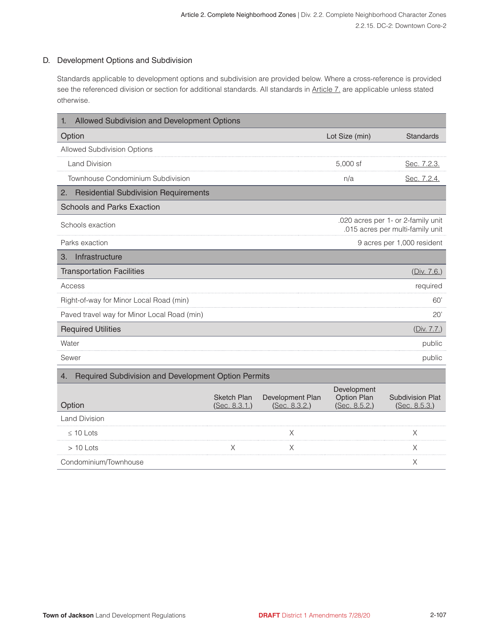#### D. Development Options and Subdivision

Standards applicable to development options and subdivision are provided below. Where a cross-reference is provided see the referenced division or section for additional standards. All standards in Article 7, are applicable unless stated otherwise.

| Allowed Subdivision and Development Options<br>1.         |                                     |                                   |                                             |                                                                        |
|-----------------------------------------------------------|-------------------------------------|-----------------------------------|---------------------------------------------|------------------------------------------------------------------------|
| Option                                                    |                                     |                                   | Lot Size (min)                              | <b>Standards</b>                                                       |
| <b>Allowed Subdivision Options</b>                        |                                     |                                   |                                             |                                                                        |
| Land Division                                             |                                     |                                   | 5,000 sf                                    | Sec. 7.2.3.                                                            |
| Townhouse Condominium Subdivision                         |                                     |                                   | n/a                                         | Sec. 7.2.4.                                                            |
| <b>Residential Subdivision Requirements</b><br>2.         |                                     |                                   |                                             |                                                                        |
| <b>Schools and Parks Exaction</b>                         |                                     |                                   |                                             |                                                                        |
| Schools exaction                                          |                                     |                                   |                                             | .020 acres per 1- or 2-family unit<br>.015 acres per multi-family unit |
| Parks exaction                                            |                                     |                                   |                                             | 9 acres per 1,000 resident                                             |
| Infrastructure<br>3.                                      |                                     |                                   |                                             |                                                                        |
| <b>Transportation Facilities</b>                          |                                     |                                   |                                             | (Div. 7.6.)                                                            |
| Access                                                    |                                     |                                   |                                             | required                                                               |
| Right-of-way for Minor Local Road (min)                   |                                     |                                   |                                             | 60'                                                                    |
| Paved travel way for Minor Local Road (min)               |                                     |                                   |                                             | 20'                                                                    |
| <b>Required Utilities</b>                                 |                                     |                                   |                                             | (Div. 7.7.)                                                            |
| Water                                                     |                                     |                                   |                                             | public                                                                 |
| Sewer                                                     |                                     |                                   |                                             | public                                                                 |
| Required Subdivision and Development Option Permits<br>4. |                                     |                                   |                                             |                                                                        |
| Option                                                    | <b>Sketch Plan</b><br>(Sec. 8.3.1.) | Development Plan<br>(Sec. 8.3.2.) | Development<br>Option Plan<br>(Sec. 8.5.2.) | <b>Subdivision Plat</b><br>(Sec. 8.5.3.)                               |
| <b>Land Division</b>                                      |                                     |                                   |                                             |                                                                        |
| $\leq$ 10 Lots                                            |                                     | Х                                 |                                             | Х                                                                      |
| $>10$ Lots                                                | Χ                                   | Χ                                 |                                             | Χ                                                                      |
| Condominium/Townhouse                                     |                                     |                                   |                                             | Χ                                                                      |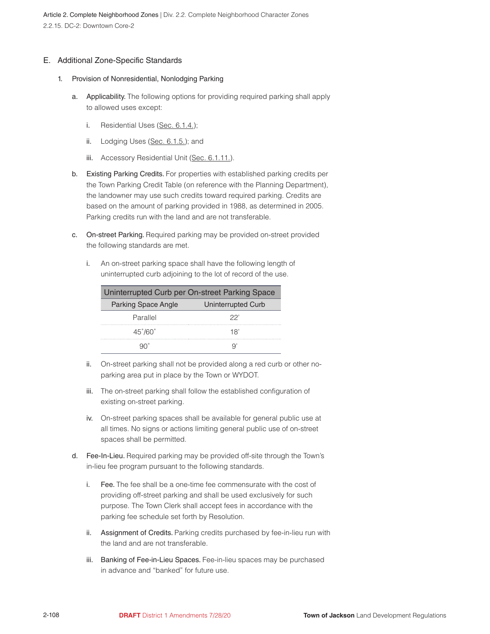#### E. Additional Zone-Specific Standards

- 1. Provision of Nonresidential, Nonlodging Parking
	- a. Applicability. The following options for providing required parking shall apply to allowed uses except:
		- i. Residential Uses (Sec. 6.1.4.);
		- ii. Lodging Uses (Sec. 6.1.5.); and
		- iii. Accessory Residential Unit (Sec. 6.1.11.).
	- b. Existing Parking Credits. For properties with established parking credits per the Town Parking Credit Table (on reference with the Planning Department), the landowner may use such credits toward required parking. Credits are based on the amount of parking provided in 1988, as determined in 2005. Parking credits run with the land and are not transferable.
	- c. On-street Parking. Required parking may be provided on-street provided the following standards are met.
		- i. An on-street parking space shall have the following length of uninterrupted curb adjoining to the lot of record of the use.

| Uninterrupted Curb per On-street Parking Space |                    |  |  |  |
|------------------------------------------------|--------------------|--|--|--|
| <b>Parking Space Angle</b>                     | Uninterrupted Curb |  |  |  |
| Parallel                                       | 22'                |  |  |  |
| $45^{\circ}/60^{\circ}$                        | 18'                |  |  |  |
|                                                |                    |  |  |  |

- ii. On-street parking shall not be provided along a red curb or other noparking area put in place by the Town or WYDOT.
- iii. The on-street parking shall follow the established configuration of existing on-street parking.
- iv. On-street parking spaces shall be available for general public use at all times. No signs or actions limiting general public use of on-street spaces shall be permitted.
- d. Fee-In-Lieu. Required parking may be provided off-site through the Town's in-lieu fee program pursuant to the following standards.
	- i. Fee. The fee shall be a one-time fee commensurate with the cost of providing off-street parking and shall be used exclusively for such purpose. The Town Clerk shall accept fees in accordance with the parking fee schedule set forth by Resolution.
	- ii. Assignment of Credits. Parking credits purchased by fee-in-lieu run with the land and are not transferable.
	- iii. Banking of Fee-in-Lieu Spaces. Fee-in-lieu spaces may be purchased in advance and "banked" for future use.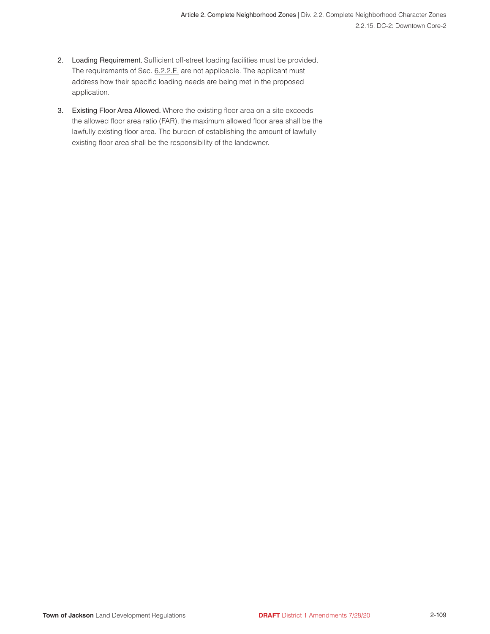- 2. Loading Requirement. Sufficient off-street loading facilities must be provided. The requirements of Sec. 6.2.2.E. are not applicable. The applicant must address how their specific loading needs are being met in the proposed application.
- 3. Existing Floor Area Allowed. Where the existing floor area on a site exceeds the allowed floor area ratio (FAR), the maximum allowed floor area shall be the lawfully existing floor area. The burden of establishing the amount of lawfully existing floor area shall be the responsibility of the landowner.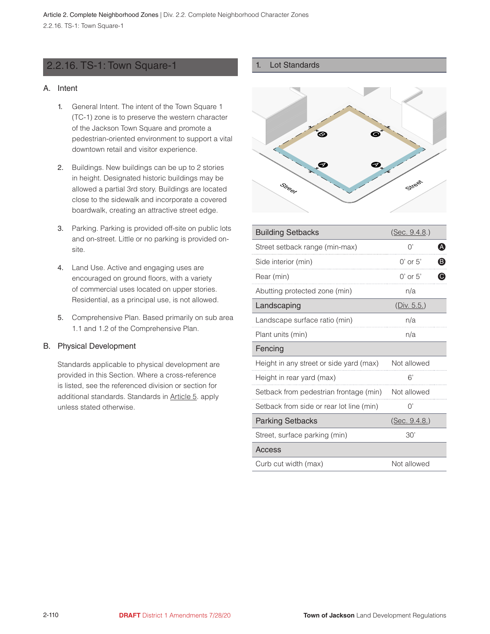# <span id="page-12-0"></span>2.2.16. TS-1: Town Square-1

#### A. Intent

- 1. General Intent. The intent of the Town Square 1 (TC-1) zone is to preserve the western character of the Jackson Town Square and promote a pedestrian-oriented environment to support a vital downtown retail and visitor experience.
- 2. Buildings. New buildings can be up to 2 stories in height. Designated historic buildings may be allowed a partial 3rd story. Buildings are located close to the sidewalk and incorporate a covered boardwalk, creating an attractive street edge.
- 3. Parking. Parking is provided off-site on public lots and on-street. Little or no parking is provided onsite.
- 4. Land Use. Active and engaging uses are encouraged on ground floors, with a variety of commercial uses located on upper stories. Residential, as a principal use, is not allowed.
- 5. Comprehensive Plan. Based primarily on sub area 1.1 and 1.2 of the Comprehensive Plan.

#### B. Physical Development

Standards applicable to physical development are provided in this Section. Where a cross-reference is listed, see the referenced division or section for additional standards. Standards in Article 5. apply unless stated otherwise.

#### 1. Lot Standards



| <b>Building Setbacks</b>                 | (Sec. 9.4.8.) |   |
|------------------------------------------|---------------|---|
| Street setback range (min-max)           | O'            | A |
| Side interior (min)                      | $0'$ or $5'$  | ® |
| Rear (min)                               | $0'$ or $5'$  | ◉ |
| Abutting protected zone (min)            | n/a           |   |
| Landscaping                              | (Div. 5.5.)   |   |
| Landscape surface ratio (min)            | n/a           |   |
| Plant units (min)                        | n/a           |   |
| Fencing                                  |               |   |
| Height in any street or side yard (max)  | Not allowed   |   |
| Height in rear yard (max)                | 6'            |   |
| Setback from pedestrian frontage (min)   | Not allowed   |   |
| Setback from side or rear lot line (min) | O'            |   |
| <b>Parking Setbacks</b>                  | (Sec. 9.4.8.) |   |
| Street, surface parking (min)            | 30'           |   |
| Access                                   |               |   |
| Curb cut width (max)                     | Not allowed   |   |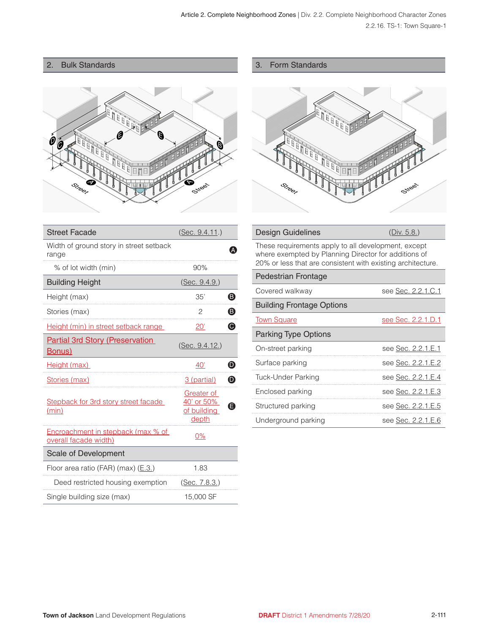#### 2. Bulk Standards



| <b>Street Facade</b>                                        | (Sec. 9.4.11.)                                          |                       |
|-------------------------------------------------------------|---------------------------------------------------------|-----------------------|
| Width of ground story in street setback<br>range            |                                                         |                       |
| % of lot width (min)                                        | 90%                                                     |                       |
| <b>Building Height</b>                                      | (Sec. 9.4.9.)                                           |                       |
| Height (max)                                                | 35'                                                     | ❸                     |
| Stories (max)                                               | 2                                                       | ❸                     |
| Height (min) in street setback range                        | 20'                                                     | $\bullet$             |
| <b>Partial 3rd Story (Preservation</b><br><u>Bonus)</u>     | (Sec. 9.4.12.)                                          |                       |
| Height (max)                                                | $40^{\circ}$                                            | $\boldsymbol{\Theta}$ |
| Stories (max)                                               | 3 (partial)                                             | $\boldsymbol{\Theta}$ |
| Stepback for 3rd story street facade<br>(min)               | Greater of<br>40' or 50%<br>of building<br><u>depth</u> | G                     |
| Encroachment in stepback (max % of<br>overall facade width) | $0\%$                                                   |                       |
| Scale of Development                                        |                                                         |                       |
| Floor area ratio (FAR) (max) $(E.3)$                        | 1.83                                                    |                       |
| Deed restricted housing exemption                           | (Sec. 7.8.3.)                                           |                       |
| Single building size (max)                                  | 15,000 SF                                               |                       |

#### 3. Form Standards



| Design Guidelines<br>(Div. $5.8.$ ) |  |
|-------------------------------------|--|
|-------------------------------------|--|

These requirements apply to all development, except where exempted by Planning Director for additions of 20% or less that are consistent with existing architecture.

# Pedestrian Frontage

| Covered walkway                  | see Sec. 2.2.1.C.1 |
|----------------------------------|--------------------|
| <b>Building Frontage Options</b> |                    |
| <b>Town Square</b>               | see Sec. 2.2.1.D.1 |
| <b>Parking Type Options</b>      |                    |
| On-street parking                | see Sec. 2.2.1.E.1 |
| Surface parking                  | see Sec. 2.2.1.E.2 |
| Tuck-Under Parking               | see Sec. 2.2.1.E.4 |
| Enclosed parking                 | see Sec. 2.2.1.E.3 |
| Structured parking               | see Sec. 2.2.1.E.5 |
| Underground parking              | see Sec. 2.2.1.E.6 |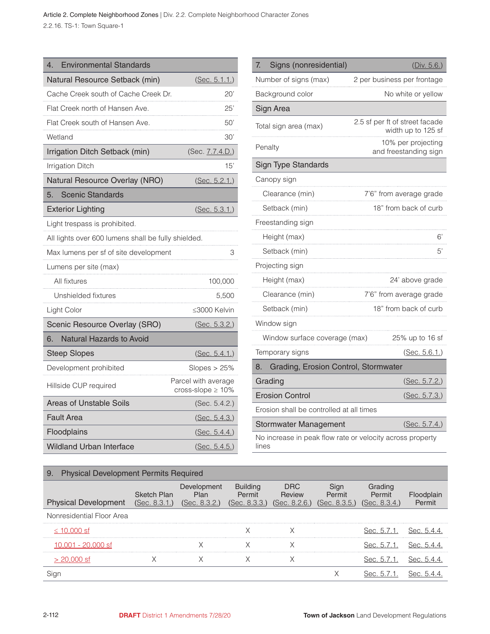Article 2. Complete Neighborhood Zones | Div. 2.2. Complete Neighborhood Character Zones 2.2.16. TS-1: Town Square-1

| <b>Environmental Standards</b><br>4.                |                                                |
|-----------------------------------------------------|------------------------------------------------|
| Natural Resource Setback (min)                      | (Sec. 5.1.1.)                                  |
| Cache Creek south of Cache Creek Dr.                | 20'                                            |
| Flat Creek north of Hansen Ave.                     | 25'                                            |
| Flat Creek south of Hansen Ave.                     | 50'                                            |
| Wetland                                             | 30'                                            |
| Irrigation Ditch Setback (min)                      | (Sec. 7.7.4.D.)                                |
| <b>Irrigation Ditch</b>                             | 15'                                            |
| Natural Resource Overlay (NRO)                      | (Sec. 5.2.1.)                                  |
| <b>Scenic Standards</b><br>5.                       |                                                |
| <b>Exterior Lighting</b>                            | (Sec. 5.3.1.)                                  |
| Light trespass is prohibited.                       |                                                |
| All lights over 600 lumens shall be fully shielded. |                                                |
| Max lumens per sf of site development               | 3                                              |
| Lumens per site (max)                               |                                                |
| All fixtures                                        | 100,000                                        |
| Unshielded fixtures                                 | 5,500                                          |
| Light Color                                         | ≤3000 Kelvin                                   |
| Scenic Resource Overlay (SRO)                       | (Sec. 5.3.2.)                                  |
| Natural Hazards to Avoid<br>6.                      |                                                |
| <b>Steep Slopes</b>                                 | <u>(Sec. 5.4.1.)</u>                           |
| Development prohibited                              | Slopes $>25\%$                                 |
| Hillside CUP required                               | Parcel with average<br>cross-slope $\geq 10\%$ |
| Areas of Unstable Soils                             | (Sec. 5.4.2.)                                  |
| <b>Fault Area</b>                                   | (Sec. 5.4.3.)                                  |
| Floodplains                                         | (Sec. 5.4.4.)                                  |
| <b>Wildland Urban Interface</b>                     | (Sec. 5.4.5.)                                  |

| 7.<br>Signs (nonresidential)                              | (Div. 5.6.)                                          |
|-----------------------------------------------------------|------------------------------------------------------|
| Number of signs (max)                                     | 2 per business per frontage                          |
| Background color                                          | No white or yellow                                   |
| Sign Area                                                 |                                                      |
| Total sign area (max)                                     | 2.5 sf per ft of street facade<br>width up to 125 sf |
| Penalty                                                   | 10% per projecting<br>and freestanding sign          |
| <b>Sign Type Standards</b>                                |                                                      |
| Canopy sign                                               |                                                      |
| Clearance (min)                                           | 7'6" from average grade                              |
| Setback (min)                                             | 18" from back of curb                                |
| Freestanding sign                                         |                                                      |
| Height (max)                                              | 6'                                                   |
| Setback (min)                                             | 5'                                                   |
| Projecting sign                                           |                                                      |
| Height (max)                                              | 24' above grade                                      |
| Clearance (min)                                           | 7'6" from average grade                              |
| Setback (min)                                             | 18" from back of curb                                |
| Window sign                                               |                                                      |
| Window surface coverage (max)                             | 25% up to 16 sf                                      |
| Temporary signs                                           | (Sec. 5.6.1.)                                        |
| Grading, Erosion Control, Stormwater<br>8.                |                                                      |
| Grading                                                   | (Sec. 5.7.2.)                                        |
| <b>Erosion Control</b>                                    | (Sec. 5.7.3.)                                        |
| Erosion shall be controlled at all times                  |                                                      |
| Stormwater Management                                     | (Sec. 5.7.4.)                                        |
| No increase in neak flow rate or velocity across property |                                                      |

No increase in peak flow rate or velocity across property lines

| <b>Physical Development Permits Required</b><br>9. |                                     |                                      |                                            |                                |                                 |                                    |         |
|----------------------------------------------------|-------------------------------------|--------------------------------------|--------------------------------------------|--------------------------------|---------------------------------|------------------------------------|---------|
| <b>Physical Development</b>                        | <b>Sketch Plan</b><br>(Sec. 8.3.1.) | Development<br>Plan<br>(Sec. 8.3.2.) | <b>Building</b><br>Permit<br>(Sec. 8.3.3.) | DRC<br>Review<br>(Sec. 8.2.6.) | Sign<br>Permit<br>(Sec. 8.3.5.) | Grading<br>Permit<br>(Sec. 8.3.4.) | Permit  |
| Nonresidential Floor Area                          |                                     |                                      |                                            |                                |                                 |                                    |         |
| $\leq 10.000$ sf                                   |                                     |                                      |                                            |                                |                                 | 14. S.A                            | Sec h   |
| 001 - 20,000 st                                    |                                     |                                      |                                            |                                |                                 | iec. 5.7.1                         |         |
|                                                    |                                     |                                      |                                            |                                |                                 | iec. 5.7.1                         | Sec. 5. |
|                                                    |                                     |                                      |                                            |                                |                                 |                                    |         |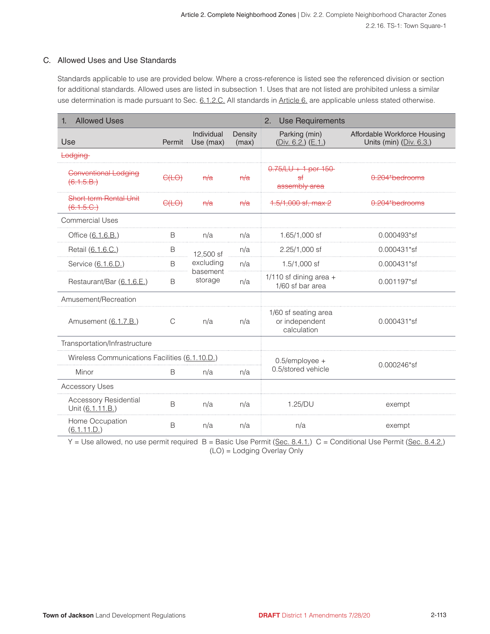#### C. Allowed Uses and Use Standards

Standards applicable to use are provided below. Where a cross-reference is listed see the referenced division or section for additional standards. Allowed uses are listed in subsection 1. Uses that are not listed are prohibited unless a similar use determination is made pursuant to Sec. 6.1.2.C. All standards in Article 6. are applicable unless stated otherwise.

| <b>Allowed Uses</b><br>1.                        |               |                         | <b>Use Requirements</b><br>2. |                                                       |                                                         |             |
|--------------------------------------------------|---------------|-------------------------|-------------------------------|-------------------------------------------------------|---------------------------------------------------------|-------------|
| Use                                              | Permit        | Individual<br>Use (max) | Density<br>(max)              | Parking (min)<br>$(Div. 6.2.)$ $(E.1.)$               | Affordable Workforce Housing<br>Units (min) (Div. 6.3.) |             |
| <b>Lodging</b>                                   |               |                         |                               |                                                       |                                                         |             |
| Conventional Lodging<br>(6.1.5.B.)               | C(LO)         | H/a                     | H/a                           | $0.75 / LU + 1$ per 150<br>$5$<br>assembly area       | 0.204*bedrooms                                          |             |
| <b>Short-term Rental Unit</b><br>(6.1.5.C.)      | C(LO)         | H/a                     | H/a                           | $1.5/1,000$ sf, max 2                                 | 0.204*bedrooms                                          |             |
| Commercial Uses                                  |               |                         |                               |                                                       |                                                         |             |
| Office (6.1.6.B.)                                | B             | n/a                     | n/a                           | 1.65/1,000 sf                                         | 0.000493*sf                                             |             |
| Retail (6.1.6.C.)                                | B             | 12,500 sf               | n/a                           | 2.25/1,000 sf                                         | 0.000431*sf                                             |             |
| Service (6.1.6.D.)                               | B             | excluding               | n/a                           | $1.5/1,000$ sf                                        | 0.000431*sf                                             |             |
| Restaurant/Bar (6.1.6.E.)                        | B             | storage                 | basement                      | n/a                                                   | $1/110$ sf dining area +<br>1/60 sf bar area            | 0.001197*sf |
| Amusement/Recreation                             |               |                         |                               |                                                       |                                                         |             |
| Amusement (6.1.7.B.)                             | $\mathcal{C}$ | n/a                     | n/a                           | 1/60 sf seating area<br>or independent<br>calculation | 0.000431*sf                                             |             |
| Transportation/Infrastructure                    |               |                         |                               |                                                       |                                                         |             |
| Wireless Communications Facilities (6.1.10.D.)   |               |                         |                               | $0.5$ /employee +                                     | 0.000246*sf                                             |             |
| Minor                                            | B             | n/a                     | n/a                           | 0.5/stored vehicle                                    |                                                         |             |
| <b>Accessory Uses</b>                            |               |                         |                               |                                                       |                                                         |             |
| <b>Accessory Residential</b><br>Unit (6.1.11.B.) | B             | n/a                     | n/a                           | 1.25/DU                                               | exempt                                                  |             |
| Home Occupation<br>(6.1.11.D.)                   | B             | n/a                     | n/a                           | n/a                                                   | exempt                                                  |             |

 $Y =$  Use allowed, no use permit required  $B =$  Basic Use Permit (Sec. 8.4.1.) C = Conditional Use Permit (Sec. 8.4.2.) (LO) = Lodging Overlay Only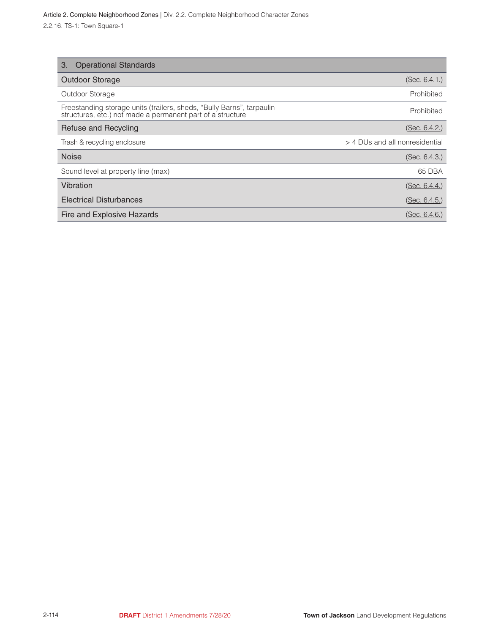| <b>Operational Standards</b><br>3.                                                                                                  |                                |
|-------------------------------------------------------------------------------------------------------------------------------------|--------------------------------|
| <b>Outdoor Storage</b>                                                                                                              | (Sec. 6.4.1.)                  |
| Outdoor Storage                                                                                                                     | Prohibited                     |
| Freestanding storage units (trailers, sheds, "Bully Barns", tarpaulin<br>structures, etc.) not made a permanent part of a structure | Prohibited                     |
| Refuse and Recycling                                                                                                                | (Sec. 6.4.2.)                  |
| Trash & recycling enclosure                                                                                                         | > 4 DUs and all nonresidential |
| <b>Noise</b>                                                                                                                        | (Sec. 6.4.3.)                  |
| Sound level at property line (max)                                                                                                  | 65 DBA                         |
| Vibration                                                                                                                           | (Sec. 6.4.4.)                  |
| <b>Electrical Disturbances</b>                                                                                                      | (Sec. 6.4.5.)                  |
| Fire and Explosive Hazards                                                                                                          | (Sec. 6.4.6.)                  |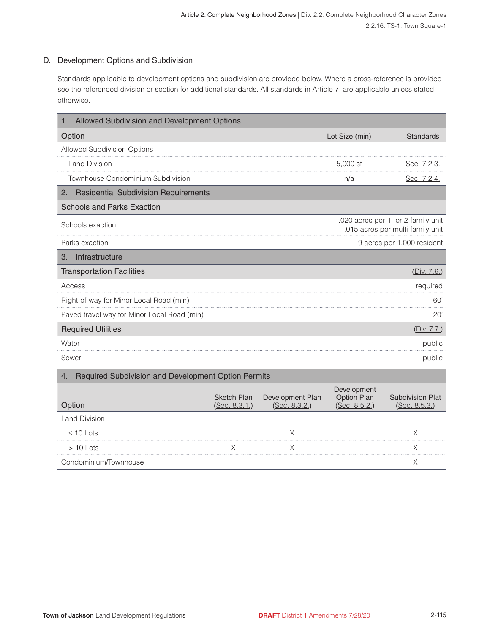#### D. Development Options and Subdivision

Standards applicable to development options and subdivision are provided below. Where a cross-reference is provided see the referenced division or section for additional standards. All standards in Article 7, are applicable unless stated otherwise.

| Allowed Subdivision and Development Options<br>1.         |                                     |                                   |                                             |                                                                        |  |  |
|-----------------------------------------------------------|-------------------------------------|-----------------------------------|---------------------------------------------|------------------------------------------------------------------------|--|--|
| Option                                                    | Lot Size (min)                      | <b>Standards</b>                  |                                             |                                                                        |  |  |
| Allowed Subdivision Options                               |                                     |                                   |                                             |                                                                        |  |  |
| <b>Land Division</b>                                      |                                     |                                   | 5,000 sf                                    | Sec. 7.2.3.                                                            |  |  |
| Townhouse Condominium Subdivision                         |                                     |                                   | n/a                                         | Sec. 7.2.4.                                                            |  |  |
| <b>Residential Subdivision Requirements</b><br>2.         |                                     |                                   |                                             |                                                                        |  |  |
| <b>Schools and Parks Exaction</b>                         |                                     |                                   |                                             |                                                                        |  |  |
| Schools exaction                                          |                                     |                                   |                                             | .020 acres per 1- or 2-family unit<br>.015 acres per multi-family unit |  |  |
| Parks exaction                                            |                                     |                                   |                                             | 9 acres per 1,000 resident                                             |  |  |
| Infrastructure<br>З.                                      |                                     |                                   |                                             |                                                                        |  |  |
| <b>Transportation Facilities</b>                          |                                     |                                   |                                             | (Div. 7.6.)                                                            |  |  |
| Access                                                    | required                            |                                   |                                             |                                                                        |  |  |
| Right-of-way for Minor Local Road (min)<br>60'            |                                     |                                   |                                             |                                                                        |  |  |
| Paved travel way for Minor Local Road (min)               | 20'                                 |                                   |                                             |                                                                        |  |  |
| <b>Required Utilities</b>                                 |                                     |                                   |                                             | (Div. 7.7.)                                                            |  |  |
| Water                                                     |                                     |                                   |                                             | public                                                                 |  |  |
| Sewer                                                     |                                     |                                   |                                             | public                                                                 |  |  |
| Required Subdivision and Development Option Permits<br>4. |                                     |                                   |                                             |                                                                        |  |  |
| Option                                                    | <b>Sketch Plan</b><br>(Sec. 8.3.1.) | Development Plan<br>(Sec. 8.3.2.) | Development<br>Option Plan<br>(Sec. 8.5.2.) | <b>Subdivision Plat</b><br>(Sec. 8.5.3.)                               |  |  |
| <b>Land Division</b>                                      |                                     |                                   |                                             |                                                                        |  |  |
| $\leq 10$ Lots                                            |                                     | Χ                                 |                                             | Χ                                                                      |  |  |
| $>10$ Lots                                                |                                     | Χ                                 |                                             | X                                                                      |  |  |
| Condominium/Townhouse                                     |                                     |                                   |                                             | Χ                                                                      |  |  |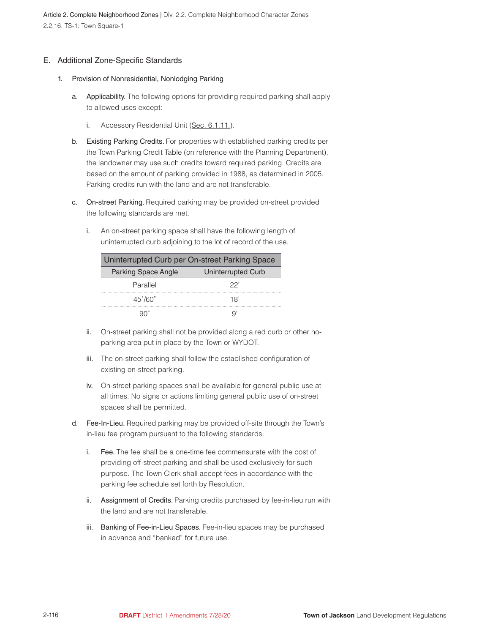Article 2. Complete Neighborhood Zones | Div. 2.2. Complete Neighborhood Character Zones 2.2.16. TS-1: Town Square-1

#### E. Additional Zone-Specific Standards

- 1. Provision of Nonresidential, Nonlodging Parking
	- a. Applicability. The following options for providing required parking shall apply to allowed uses except:
		- i. Accessory Residential Unit (Sec. 6.1.11.).
	- b. Existing Parking Credits. For properties with established parking credits per the Town Parking Credit Table (on reference with the Planning Department), the landowner may use such credits toward required parking. Credits are based on the amount of parking provided in 1988, as determined in 2005. Parking credits run with the land and are not transferable.
	- c. On-street Parking. Required parking may be provided on-street provided the following standards are met.
		- i. An on-street parking space shall have the following length of uninterrupted curb adjoining to the lot of record of the use.

| Uninterrupted Curb per On-street Parking Space |                    |  |  |  |
|------------------------------------------------|--------------------|--|--|--|
| <b>Parking Space Angle</b>                     | Uninterrupted Curb |  |  |  |
| Parallel                                       | 22'                |  |  |  |
| $45^{\circ}/60^{\circ}$                        | 18'                |  |  |  |
|                                                |                    |  |  |  |

- ii. On-street parking shall not be provided along a red curb or other noparking area put in place by the Town or WYDOT.
- iii. The on-street parking shall follow the established configuration of existing on-street parking.
- iv. On-street parking spaces shall be available for general public use at all times. No signs or actions limiting general public use of on-street spaces shall be permitted.
- d. Fee-In-Lieu. Required parking may be provided off-site through the Town's in-lieu fee program pursuant to the following standards.
	- i. Fee. The fee shall be a one-time fee commensurate with the cost of providing off-street parking and shall be used exclusively for such purpose. The Town Clerk shall accept fees in accordance with the parking fee schedule set forth by Resolution.
	- ii. Assignment of Credits. Parking credits purchased by fee-in-lieu run with the land and are not transferable.
	- iii. Banking of Fee-in-Lieu Spaces. Fee-in-lieu spaces may be purchased in advance and "banked" for future use.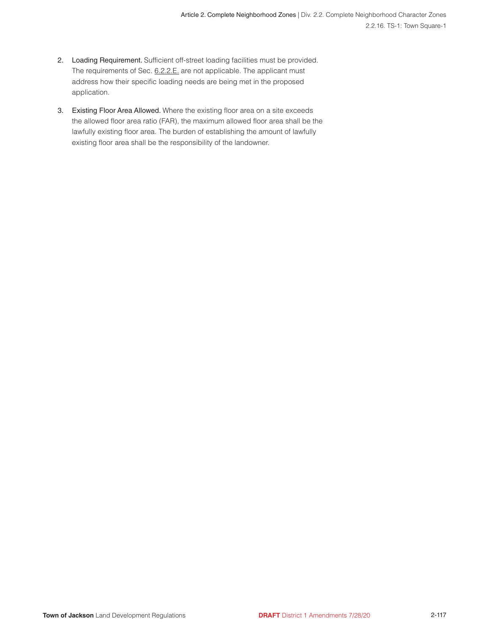- 2. Loading Requirement. Sufficient off-street loading facilities must be provided. The requirements of Sec. 6.2.2.E. are not applicable. The applicant must address how their specific loading needs are being met in the proposed application.
- 3. Existing Floor Area Allowed. Where the existing floor area on a site exceeds the allowed floor area ratio (FAR), the maximum allowed floor area shall be the lawfully existing floor area. The burden of establishing the amount of lawfully existing floor area shall be the responsibility of the landowner.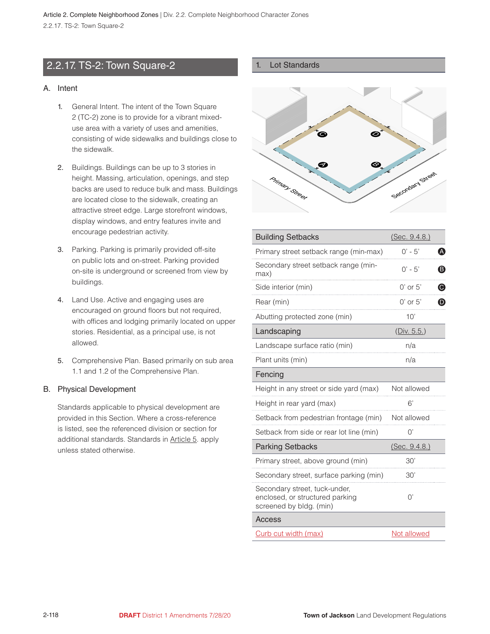# <span id="page-20-0"></span>2.2.17. TS-2: Town Square-2

#### A. Intent

- 1. General Intent. The intent of the Town Square 2 (TC-2) zone is to provide for a vibrant mixeduse area with a variety of uses and amenities, consisting of wide sidewalks and buildings close to the sidewalk.
- 2. Buildings. Buildings can be up to 3 stories in height. Massing, articulation, openings, and step backs are used to reduce bulk and mass. Buildings are located close to the sidewalk, creating an attractive street edge. Large storefront windows, display windows, and entry features invite and encourage pedestrian activity.
- 3. Parking. Parking is primarily provided off-site on public lots and on-street. Parking provided on-site is underground or screened from view by buildings.
- 4. Land Use. Active and engaging uses are encouraged on ground floors but not required, with offices and lodging primarily located on upper stories. Residential, as a principal use, is not allowed.
- 5. Comprehensive Plan. Based primarily on sub area 1.1 and 1.2 of the Comprehensive Plan.

#### B. Physical Development

Standards applicable to physical development are provided in this Section. Where a cross-reference is listed, see the referenced division or section for additional standards. Standards in Article 5. apply unless stated otherwise.

#### 1. Lot Standards



| <b>Building Setbacks</b>                                                                    | (Sec. 9.4.8.) |                       |
|---------------------------------------------------------------------------------------------|---------------|-----------------------|
| Primary street setback range (min-max)                                                      | $0' - 5'$     | ❹                     |
| Secondary street setback range (min-<br>max)                                                | $0' - 5'$     | ❸                     |
| Side interior (min)                                                                         | $0'$ or $5'$  | ❻                     |
| Rear (min)                                                                                  | $0'$ or $5'$  | $\boldsymbol{\Theta}$ |
| Abutting protected zone (min)                                                               | 10'           |                       |
| Landscaping                                                                                 | (Div. 5.5.)   |                       |
| Landscape surface ratio (min)                                                               | n/a           |                       |
| Plant units (min)                                                                           | n/a           |                       |
| Fencing                                                                                     |               |                       |
| Height in any street or side yard (max)                                                     | Not allowed   |                       |
| Height in rear yard (max)                                                                   | 6'            |                       |
| Setback from pedestrian frontage (min)                                                      | Not allowed   |                       |
| Setback from side or rear lot line (min)                                                    | 0'            |                       |
| <b>Parking Setbacks</b>                                                                     | (Sec. 9.4.8.) |                       |
| Primary street, above ground (min)                                                          | 30'           |                       |
| Secondary street, surface parking (min)                                                     | 30'           |                       |
| Secondary street, tuck-under,<br>enclosed, or structured parking<br>screened by bldg. (min) | $\bigcap$     |                       |
| <b>Access</b>                                                                               |               |                       |
| Curb cut width (max)                                                                        | Not allowed   |                       |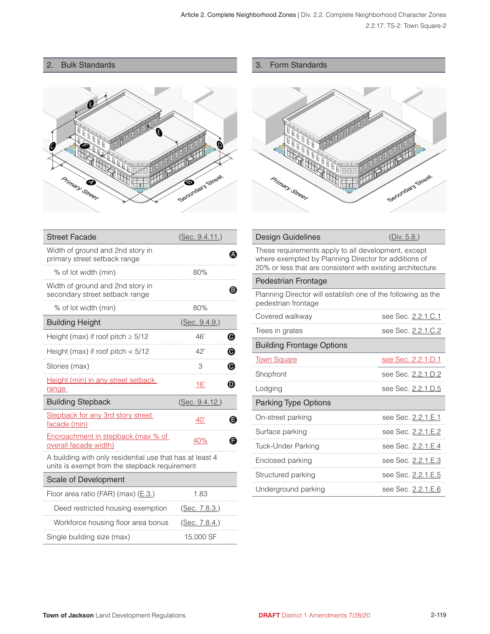# 2. Bulk Standards



| З. | <b>Form Standards</b> |
|----|-----------------------|
|    |                       |



|  | <b>Design Guidelines</b> |
|--|--------------------------|
|--|--------------------------|

(Div. 5.8.)

| These requirements apply to all development, except         |
|-------------------------------------------------------------|
| where exempted by Planning Director for additions of        |
| 20% or less that are consistent with existing architecture. |

#### Pedestrian Frontage

Planning Director will establish one of the following as the pedestrian frontage

| Covered walkway                  | see Sec. 2.2.1.C.1        |
|----------------------------------|---------------------------|
| Trees in grates                  | see Sec. 2.2.1.C.2        |
| <b>Building Frontage Options</b> |                           |
| <b>Town Square</b>               | <u>see Sec. 2.2.1.D.1</u> |
| Shopfront                        | see Sec. 2.2.1.D.2        |
| Lodging                          | see Sec. 2.2.1.D.5        |
| Parking Type Options             |                           |
| On-street parking                | see Sec. 2.2.1.E.1        |
| Surface parking                  | see Sec. 2.2.1.E.2        |
| Tuck-Under Parking               | see Sec. 2.2.1.E.4        |
| Enclosed parking                 | see Sec. 2.2.1.E.3        |
| Structured parking               | see Sec. 2.2.1.E.5        |
| Underground parking              | see Sec. 2.2.1.E.6        |

| <b>Street Facade</b>                                                                                      | (Sec. 9.4.11.)               |
|-----------------------------------------------------------------------------------------------------------|------------------------------|
| Width of ground and 2nd story in<br>primary street setback range                                          |                              |
| % of lot width (min)                                                                                      | 80%                          |
| Width of ground and 2nd story in<br>secondary street setback range                                        | B.                           |
| % of lot width (min)                                                                                      | 80%                          |
| <b>Building Height</b>                                                                                    | (Sec. 9.4.9.)                |
| Height (max) if roof pitch $\geq 5/12$                                                                    | Θ<br>46'                     |
| Height (max) if roof pitch $< 5/12$                                                                       | $\boldsymbol{\Theta}$<br>42' |
| Stories (max)                                                                                             | ◉<br>3                       |
| Height (min) in any street setback<br>range                                                               | Đ<br>16'                     |
| <b>Building Stepback</b>                                                                                  | (Sec. 9.4.12.)               |
| Stepback for any 3rd story street<br>facade (min)                                                         | 40'<br>F                     |
| Encroachment in stepback (max % of<br>overall facade width)                                               | 40%                          |
| A building with only residential use that has at least 4<br>units is exempt from the stepback requirement |                              |
| Scale of Development                                                                                      |                              |
| Floor area ratio (FAR) (max) (E.3.)                                                                       | 1.83                         |
| Deed restricted housing exemption                                                                         | (Sec. 7.8.3.)                |
| Workforce housing floor area bonus                                                                        | (Sec. 7.8.4.)                |
| Single building size (max)                                                                                | 15,000 SF                    |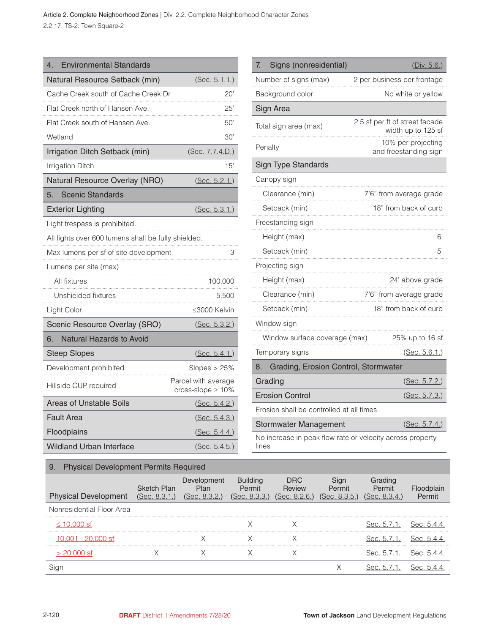Article 2. Complete Neighborhood Zones | Div. 2.2. Complete Neighborhood Character Zones 2.2.17. TS-2: Town Square-2

| <b>Environmental Standards</b><br>4.                |                                                |
|-----------------------------------------------------|------------------------------------------------|
| Natural Resource Setback (min)                      | (Sec. 5.1.1.)                                  |
| Cache Creek south of Cache Creek Dr.                | 20'                                            |
| Flat Creek north of Hansen Ave.                     | 25'                                            |
| Flat Creek south of Hansen Ave.                     | 50'                                            |
| Wetland                                             | 30'                                            |
| Irrigation Ditch Setback (min)                      | (Sec. 7.7.4.D.)                                |
| <b>Irrigation Ditch</b>                             | 15'                                            |
| Natural Resource Overlay (NRO)                      | (Sec. 5.2.1.)                                  |
| <b>Scenic Standards</b><br>5.                       |                                                |
| <b>Exterior Lighting</b>                            | (Sec. 5.3.1.)                                  |
| Light trespass is prohibited.                       |                                                |
| All lights over 600 lumens shall be fully shielded. |                                                |
| Max lumens per sf of site development               | 3                                              |
| Lumens per site (max)                               |                                                |
| All fixtures                                        | 100,000                                        |
| Unshielded fixtures                                 | 5,500                                          |
| Light Color                                         | ≤3000 Kelvin                                   |
| Scenic Resource Overlay (SRO)                       | (Sec. 5.3.2.)                                  |
| Natural Hazards to Avoid<br>6.                      |                                                |
| <b>Steep Slopes</b>                                 | (Sec. 5.4.1.)                                  |
| Development prohibited                              | Slopes $> 25\%$                                |
| Hillside CUP required                               | Parcel with average<br>cross-slope $\geq 10\%$ |
| Areas of Unstable Soils                             | (Sec. 5.4.2.)                                  |
| <b>Fault Area</b>                                   | (Sec. 5.4.3.)                                  |
| Floodplains                                         | (Sec. 5.4.4.)                                  |
| <b>Wildland Urban Interface</b>                     | (Sec. 5.4.5.)                                  |

| Signs (nonresidential)<br>7.               | (Div. 5.6.)                                          |
|--------------------------------------------|------------------------------------------------------|
| Number of signs (max)                      | 2 per business per frontage                          |
| Background color                           | No white or yellow                                   |
| Sign Area                                  |                                                      |
| Total sign area (max)                      | 2.5 sf per ft of street facade<br>width up to 125 sf |
| Penalty                                    | 10% per projecting<br>and freestanding sign          |
| <b>Sign Type Standards</b>                 |                                                      |
| Canopy sign                                |                                                      |
| Clearance (min)                            | 7'6" from average grade                              |
| Setback (min)                              | 18" from back of curb                                |
| Freestanding sign                          |                                                      |
| Height (max)                               | 6'                                                   |
| Setback (min)                              | 5'                                                   |
| Projecting sign                            |                                                      |
| Height (max)                               | 24' above grade                                      |
| Clearance (min)                            | 7'6" from average grade                              |
| Setback (min)                              | 18" from back of curb                                |
| Window sign                                |                                                      |
| Window surface coverage (max)              | 25% up to 16 sf                                      |
| Temporary signs                            | (Sec. 5.6.1.)                                        |
| Grading, Erosion Control, Stormwater<br>8. |                                                      |
| Grading                                    | (Sec. 5.7.2.)                                        |
| <b>Erosion Control</b>                     | (Sec. 5.7.3.)                                        |
| Erosion shall be controlled at all times   |                                                      |
| <b>Stormwater Management</b>               | (Sec. 5.7.4.)                                        |
|                                            |                                                      |

No increase in peak flow rate or velocity across property lines

# 9. Physical Development Permits Required

| <b>Physical Development</b> | <b>Sketch Plan</b><br>(Sec. 8.3.1.) | Development<br>Plan<br>(Sec. 8.3.2.) | <b>Building</b><br>Permit<br>(Sec. 8.3.3.) | <b>DRC</b><br>Review<br>(Sec. 8.2.6.) | Permit<br>(Sec. 8.3.5.) | Grading<br>Permit<br>(Sec. 8.3.4.) | Permit      |
|-----------------------------|-------------------------------------|--------------------------------------|--------------------------------------------|---------------------------------------|-------------------------|------------------------------------|-------------|
| Nonresidential Floor Area   |                                     |                                      |                                            |                                       |                         |                                    |             |
| ≤ 10,000 sf                 |                                     |                                      |                                            |                                       |                         | Sec. 5.7.1.                        | Sec. 5.4.4  |
| 10.001 - 20.000 sf          |                                     |                                      |                                            |                                       |                         | Sec. 5.7.1.                        | Sec. 5.4.4  |
| 20.000 st                   |                                     |                                      |                                            |                                       |                         | Sec. 5.7.1.                        | Sec. 5.4.4. |
|                             |                                     |                                      |                                            |                                       |                         |                                    | Sec. b      |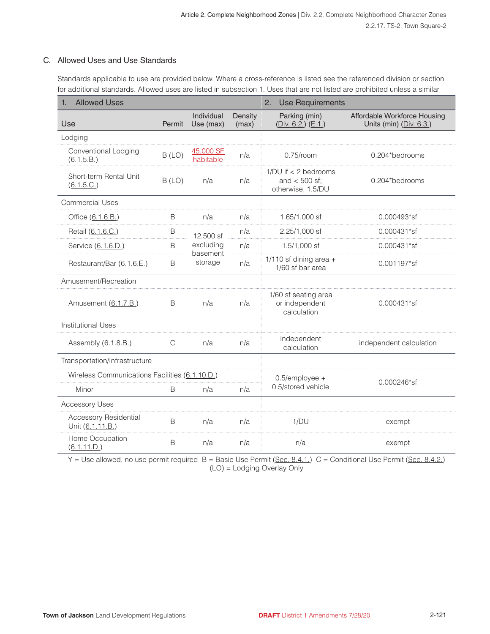#### C. Allowed Uses and Use Standards

Standards applicable to use are provided below. Where a cross-reference is listed see the referenced division or section for additional standards. Allowed uses are listed in subsection 1. Uses that are not listed are prohibited unless a similar

| <b>Allowed Uses</b><br>1.                        |        |                         | 2.<br><b>Use Requirements</b> |                                                                    |                                                           |  |
|--------------------------------------------------|--------|-------------------------|-------------------------------|--------------------------------------------------------------------|-----------------------------------------------------------|--|
| Use                                              | Permit | Individual<br>Use (max) | Density<br>(max)              | Parking (min)<br>(Div. 6.2) (E.1)                                  | Affordable Workforce Housing<br>Units (min) $(Div. 6.3.)$ |  |
| Lodging                                          |        |                         |                               |                                                                    |                                                           |  |
| Conventional Lodging<br>(6.1.5.B.)               | B (LO) | 45,000 SF<br>habitable  | n/a                           | $0.75$ /room                                                       | 0.204*bedrooms                                            |  |
| Short-term Rental Unit<br>(6.1.5.C.)             | B (LO) | n/a                     | n/a                           | $1/DU$ if $\lt$ 2 bedrooms<br>and $<$ 500 sf;<br>otherwise, 1.5/DU | 0.204*bedrooms                                            |  |
| <b>Commercial Uses</b>                           |        |                         |                               |                                                                    |                                                           |  |
| Office (6.1.6.B.)                                | В      | n/a                     | n/a                           | 1.65/1,000 sf                                                      | 0.000493*sf                                               |  |
| Retail (6.1.6.C.)                                | B      | 12,500 sf               | n/a                           | 2.25/1,000 sf                                                      | 0.000431*sf                                               |  |
| Service (6.1.6.D.)                               | B<br>. | excluding               | n/a                           | $1.5/1,000$ sf                                                     | 0.000431*sf                                               |  |
| Restaurant/Bar (6.1.6.E.)                        | B      | basement<br>storage     | n/a                           | $1/110$ sf dining area +<br>1/60 sf bar area                       | 0.001197*sf                                               |  |
| Amusement/Recreation                             |        |                         |                               |                                                                    |                                                           |  |
| Amusement (6.1.7.B.)                             | B      | n/a                     | n/a                           | 1/60 sf seating area<br>or independent<br>calculation              | 0.000431*sf                                               |  |
| <b>Institutional Uses</b>                        |        |                         |                               |                                                                    |                                                           |  |
| Assembly (6.1.8.B.)                              | C      | n/a                     | n/a                           | independent<br>calculation                                         | independent calculation                                   |  |
| Transportation/Infrastructure                    |        |                         |                               |                                                                    |                                                           |  |
| Wireless Communications Facilities (6.1.10.D.)   |        | 0.5/employee +          |                               |                                                                    |                                                           |  |
| Minor                                            | B      | n/a                     | n/a                           | 0.5/stored vehicle                                                 | 0.000246*sf                                               |  |
| <b>Accessory Uses</b>                            |        |                         |                               |                                                                    |                                                           |  |
| <b>Accessory Residential</b><br>Unit (6.1.11.B.) | B      | n/a                     | n/a                           | 1/DU                                                               | exempt                                                    |  |
| Home Occupation<br>(6.1.11.D.)                   | B      | n/a                     | n/a                           | n/a                                                                | exempt                                                    |  |

Y = Use allowed, no use permit required B = Basic Use Permit (Sec. 8.4.1.) C = Conditional Use Permit (Sec. 8.4.2.) (LO) = Lodging Overlay Only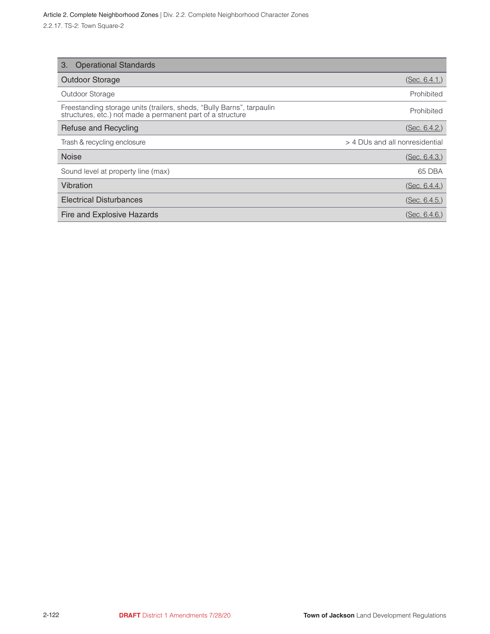| <b>Operational Standards</b><br>3.                                                                                                  |                                |
|-------------------------------------------------------------------------------------------------------------------------------------|--------------------------------|
| <b>Outdoor Storage</b>                                                                                                              | (Sec. 6.4.1)                   |
| Outdoor Storage                                                                                                                     | Prohibited                     |
| Freestanding storage units (trailers, sheds, "Bully Barns", tarpaulin<br>structures, etc.) not made a permanent part of a structure | Prohibited                     |
| Refuse and Recycling                                                                                                                | (Sec. 6.4.2.)                  |
| Trash & recycling enclosure                                                                                                         | > 4 DUs and all nonresidential |
| <b>Noise</b>                                                                                                                        | (Sec. 6.4.3.)                  |
| Sound level at property line (max)                                                                                                  | 65 DBA                         |
| Vibration                                                                                                                           | (Sec. 6.4.4.)                  |
| <b>Electrical Disturbances</b>                                                                                                      | (Sec. 6.4.5.)                  |
| Fire and Explosive Hazards                                                                                                          | (Sec. 6.4.6.)                  |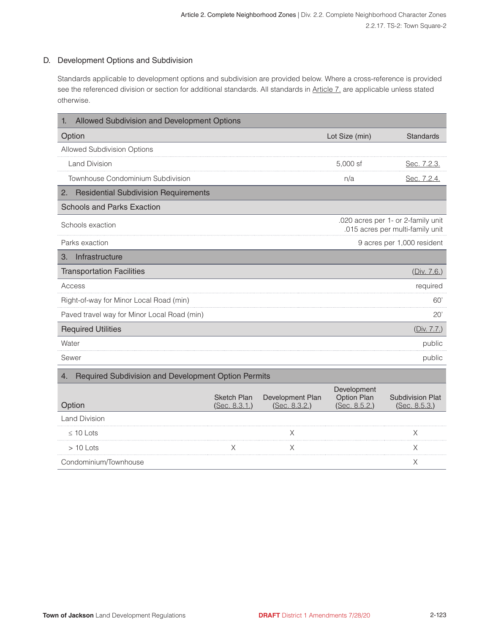#### D. Development Options and Subdivision

Standards applicable to development options and subdivision are provided below. Where a cross-reference is provided see the referenced division or section for additional standards. All standards in Article 7, are applicable unless stated otherwise.

| Allowed Subdivision and Development Options<br>1.         |                                     |                                   |                                                                        |                                          |  |
|-----------------------------------------------------------|-------------------------------------|-----------------------------------|------------------------------------------------------------------------|------------------------------------------|--|
| Option                                                    |                                     |                                   | Lot Size (min)                                                         | <b>Standards</b>                         |  |
| Allowed Subdivision Options                               |                                     |                                   |                                                                        |                                          |  |
| <b>Land Division</b>                                      |                                     |                                   | 5,000 sf                                                               | Sec. 7.2.3.                              |  |
| Townhouse Condominium Subdivision                         |                                     |                                   | n/a                                                                    | Sec. 7.2.4.                              |  |
| <b>Residential Subdivision Requirements</b><br>2.         |                                     |                                   |                                                                        |                                          |  |
| <b>Schools and Parks Exaction</b>                         |                                     |                                   |                                                                        |                                          |  |
| Schools exaction                                          |                                     |                                   | .020 acres per 1- or 2-family unit<br>.015 acres per multi-family unit |                                          |  |
| Parks exaction                                            |                                     |                                   |                                                                        | 9 acres per 1,000 resident               |  |
| Infrastructure<br>З.                                      |                                     |                                   |                                                                        |                                          |  |
| <b>Transportation Facilities</b>                          |                                     |                                   |                                                                        | (Div. 7.6.)                              |  |
| Access                                                    |                                     |                                   |                                                                        | required                                 |  |
| Right-of-way for Minor Local Road (min)                   |                                     |                                   |                                                                        | 60'                                      |  |
| Paved travel way for Minor Local Road (min)               |                                     |                                   |                                                                        | 20'                                      |  |
| <b>Required Utilities</b>                                 |                                     |                                   |                                                                        | (Div. 7.7.)                              |  |
| Water                                                     |                                     |                                   |                                                                        | public                                   |  |
| Sewer                                                     |                                     |                                   |                                                                        | public                                   |  |
| Required Subdivision and Development Option Permits<br>4. |                                     |                                   |                                                                        |                                          |  |
| Option                                                    | <b>Sketch Plan</b><br>(Sec. 8.3.1.) | Development Plan<br>(Sec. 8.3.2.) | Development<br>Option Plan<br>(Sec. 8.5.2.)                            | <b>Subdivision Plat</b><br>(Sec. 8.5.3.) |  |
| <b>Land Division</b>                                      |                                     |                                   |                                                                        |                                          |  |
| $\leq 10$ Lots                                            |                                     | Χ                                 |                                                                        | Χ                                        |  |
| $>10$ Lots                                                |                                     | Χ                                 |                                                                        | X                                        |  |
| Condominium/Townhouse                                     |                                     |                                   |                                                                        | Χ                                        |  |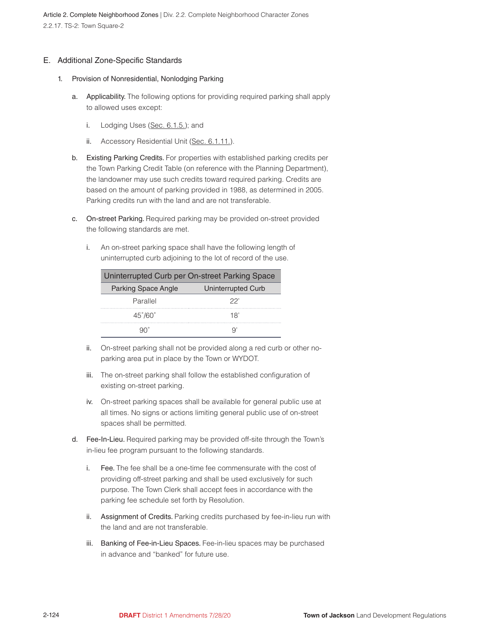#### E. Additional Zone-Specific Standards

- 1. Provision of Nonresidential, Nonlodging Parking
	- a. Applicability. The following options for providing required parking shall apply to allowed uses except:
		- i. Lodging Uses (Sec. 6.1.5.); and
		- ii. Accessory Residential Unit (Sec. 6.1.11.).
	- b. Existing Parking Credits. For properties with established parking credits per the Town Parking Credit Table (on reference with the Planning Department), the landowner may use such credits toward required parking. Credits are based on the amount of parking provided in 1988, as determined in 2005. Parking credits run with the land and are not transferable.
	- c. On-street Parking. Required parking may be provided on-street provided the following standards are met.
		- i. An on-street parking space shall have the following length of uninterrupted curb adjoining to the lot of record of the use.

| Uninterrupted Curb per On-street Parking Space |                    |  |
|------------------------------------------------|--------------------|--|
| <b>Parking Space Angle</b>                     | Uninterrupted Curb |  |
| Parallel                                       | 22'                |  |
| $45^{\circ}/60^{\circ}$                        | 18'                |  |
|                                                |                    |  |

- ii. On-street parking shall not be provided along a red curb or other noparking area put in place by the Town or WYDOT.
- iii. The on-street parking shall follow the established configuration of existing on-street parking.
- iv. On-street parking spaces shall be available for general public use at all times. No signs or actions limiting general public use of on-street spaces shall be permitted.
- d. Fee-In-Lieu. Required parking may be provided off-site through the Town's in-lieu fee program pursuant to the following standards.
	- i. Fee. The fee shall be a one-time fee commensurate with the cost of providing off-street parking and shall be used exclusively for such purpose. The Town Clerk shall accept fees in accordance with the parking fee schedule set forth by Resolution.
	- ii. Assignment of Credits. Parking credits purchased by fee-in-lieu run with the land and are not transferable.
	- iii. Banking of Fee-in-Lieu Spaces. Fee-in-lieu spaces may be purchased in advance and "banked" for future use.